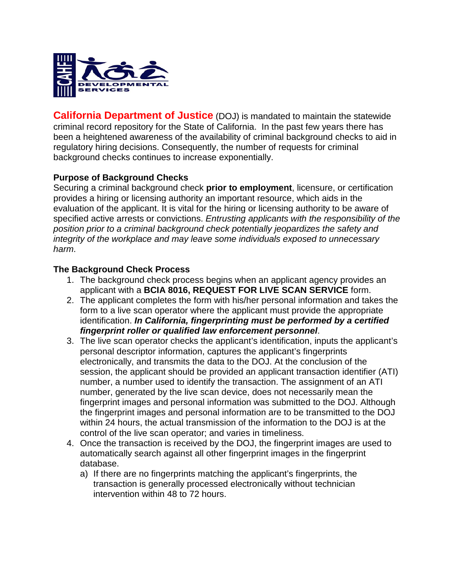

**California Department of Justice** (DOJ) is mandated to maintain the statewide criminal record repository for the State of California. In the past few years there has been a heightened awareness of the availability of criminal background checks to aid in regulatory hiring decisions. Consequently, the number of requests for criminal background checks continues to increase exponentially.

## **Purpose of Background Checks**

Securing a criminal background check **prior to employment**, licensure, or certification provides a hiring or licensing authority an important resource, which aids in the evaluation of the applicant. It is vital for the hiring or licensing authority to be aware of specified active arrests or convictions. *Entrusting applicants with the responsibility of the position prior to a criminal background check potentially jeopardizes the safety and integrity of the workplace and may leave some individuals exposed to unnecessary harm*.

## **The Background Check Process**

- 1. The background check process begins when an applicant agency provides an applicant with a **BCIA 8016, REQUEST FOR LIVE SCAN SERVICE** form.
- 2. The applicant completes the form with his/her personal information and takes the form to a live scan operator where the applicant must provide the appropriate identification. *In California, fingerprinting must be performed by a certified fingerprint roller or qualified law enforcement personnel*.
- 3. The live scan operator checks the applicant's identification, inputs the applicant's personal descriptor information, captures the applicant's fingerprints electronically, and transmits the data to the DOJ. At the conclusion of the session, the applicant should be provided an applicant transaction identifier (ATI) number, a number used to identify the transaction. The assignment of an ATI number, generated by the live scan device, does not necessarily mean the fingerprint images and personal information was submitted to the DOJ. Although the fingerprint images and personal information are to be transmitted to the DOJ within 24 hours, the actual transmission of the information to the DOJ is at the control of the live scan operator; and varies in timeliness.
- 4. Once the transaction is received by the DOJ, the fingerprint images are used to automatically search against all other fingerprint images in the fingerprint database.
	- a) If there are no fingerprints matching the applicant's fingerprints, the transaction is generally processed electronically without technician intervention within 48 to 72 hours.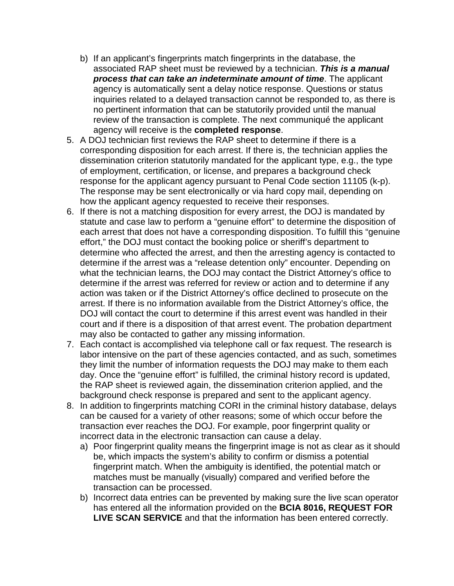- b) If an applicant's fingerprints match fingerprints in the database, the associated RAP sheet must be reviewed by a technician. *This is a manual process that can take an indeterminate amount of time*. The applicant agency is automatically sent a delay notice response. Questions or status inquiries related to a delayed transaction cannot be responded to, as there is no pertinent information that can be statutorily provided until the manual review of the transaction is complete. The next communiqué the applicant agency will receive is the **completed response**.
- 5. A DOJ technician first reviews the RAP sheet to determine if there is a corresponding disposition for each arrest. If there is, the technician applies the dissemination criterion statutorily mandated for the applicant type, e.g., the type of employment, certification, or license, and prepares a background check response for the applicant agency pursuant to Penal Code section 11105 (k-p). The response may be sent electronically or via hard copy mail, depending on how the applicant agency requested to receive their responses.
- 6. If there is not a matching disposition for every arrest, the DOJ is mandated by statute and case law to perform a "genuine effort" to determine the disposition of each arrest that does not have a corresponding disposition. To fulfill this "genuine effort," the DOJ must contact the booking police or sheriff's department to determine who affected the arrest, and then the arresting agency is contacted to determine if the arrest was a "release detention only" encounter. Depending on what the technician learns, the DOJ may contact the District Attorney's office to determine if the arrest was referred for review or action and to determine if any action was taken or if the District Attorney's office declined to prosecute on the arrest. If there is no information available from the District Attorney's office, the DOJ will contact the court to determine if this arrest event was handled in their court and if there is a disposition of that arrest event. The probation department may also be contacted to gather any missing information.
- 7. Each contact is accomplished via telephone call or fax request. The research is labor intensive on the part of these agencies contacted, and as such, sometimes they limit the number of information requests the DOJ may make to them each day. Once the "genuine effort" is fulfilled, the criminal history record is updated, the RAP sheet is reviewed again, the dissemination criterion applied, and the background check response is prepared and sent to the applicant agency.
- 8. In addition to fingerprints matching CORI in the criminal history database, delays can be caused for a variety of other reasons; some of which occur before the transaction ever reaches the DOJ. For example, poor fingerprint quality or incorrect data in the electronic transaction can cause a delay.
	- a) Poor fingerprint quality means the fingerprint image is not as clear as it should be, which impacts the system's ability to confirm or dismiss a potential fingerprint match. When the ambiguity is identified, the potential match or matches must be manually (visually) compared and verified before the transaction can be processed.
	- b) Incorrect data entries can be prevented by making sure the live scan operator has entered all the information provided on the **BCIA 8016, REQUEST FOR LIVE SCAN SERVICE** and that the information has been entered correctly.